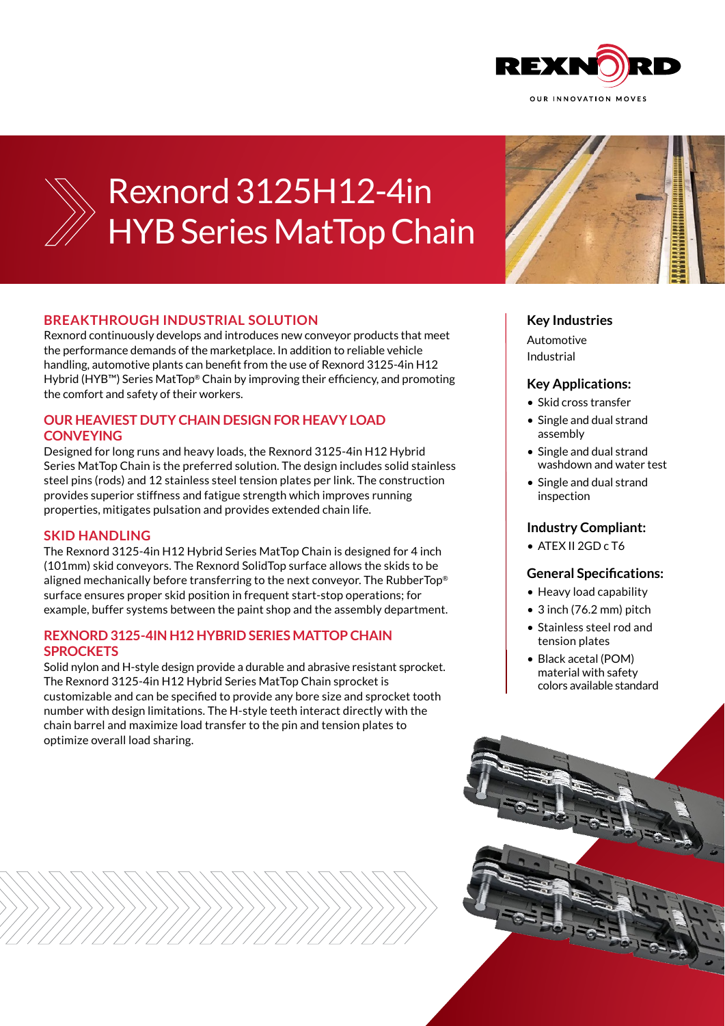



# Rexnord 3125H12-4in HYB Series MatTop Chain

# **BREAKTHROUGH INDUSTRIAL SOLUTION**

Rexnord continuously develops and introduces new conveyor products that meet the performance demands of the marketplace. In addition to reliable vehicle handling, automotive plants can benefit from the use of Rexnord 3125-4in H12 Hybrid (HYB™) Series MatTop® Chain by improving their efficiency, and promoting the comfort and safety of their workers.

# **OUR HEAVIEST DUTY CHAIN DESIGN FOR HEAVY LOAD CONVEYING**

Designed for long runs and heavy loads, the Rexnord 3125-4in H12 Hybrid Series MatTop Chain is the preferred solution. The design includes solid stainless steel pins (rods) and 12 stainless steel tension plates per link. The construction provides superior stiffness and fatigue strength which improves running properties, mitigates pulsation and provides extended chain life.

## **SKID HANDLING**

The Rexnord 3125-4in H12 Hybrid Series MatTop Chain is designed for 4 inch (101mm) skid conveyors. The Rexnord SolidTop surface allows the skids to be aligned mechanically before transferring to the next conveyor. The RubberTop® surface ensures proper skid position in frequent start-stop operations; for example, buffer systems between the paint shop and the assembly department.

## **REXNORD 3125-4IN H12 HYBRID SERIES MATTOP CHAIN SPROCKETS**

Solid nylon and H-style design provide a durable and abrasive resistant sprocket. The Rexnord 3125-4in H12 Hybrid Series MatTop Chain sprocket is customizable and can be specified to provide any bore size and sprocket tooth number with design limitations. The H-style teeth interact directly with the chain barrel and maximize load transfer to the pin and tension plates to optimize overall load sharing.



# **Key Industries**

Automotive Industrial

#### **Key Applications:**

- Skid cross transfer
- Single and dual strand assembly
- Single and dual strand washdown and water test
- Single and dual strand inspection

# **Industry Compliant:**

• ATEX II 2GD c T6

## **General Specifications:**

- Heavy load capability
- 3 inch (76.2 mm) pitch
- Stainless steel rod and tension plates
- Black acetal (POM) material with safety colors available standard